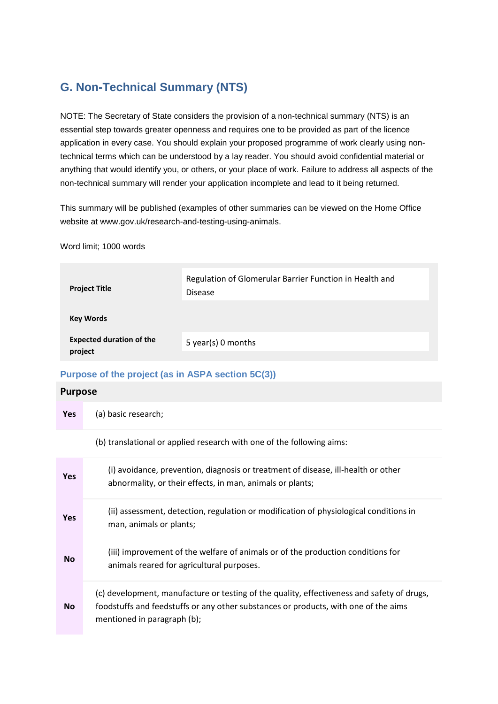# **G. Non-Technical Summary (NTS)**

NOTE: The Secretary of State considers the provision of a non-technical summary (NTS) is an essential step towards greater openness and requires one to be provided as part of the licence application in every case. You should explain your proposed programme of work clearly using nontechnical terms which can be understood by a lay reader. You should avoid confidential material or anything that would identify you, or others, or your place of work. Failure to address all aspects of the non-technical summary will render your application incomplete and lead to it being returned.

This summary will be published (examples of other summaries can be viewed on the Home Office website at www.gov.uk/research-and-testing-using-animals.

Word limit; 1000 words

| <b>Project Title</b>                              |                                                                                                                                                                                                                  | Regulation of Glomerular Barrier Function in Health and<br><b>Disease</b> |  |
|---------------------------------------------------|------------------------------------------------------------------------------------------------------------------------------------------------------------------------------------------------------------------|---------------------------------------------------------------------------|--|
| <b>Key Words</b>                                  |                                                                                                                                                                                                                  |                                                                           |  |
| <b>Expected duration of the</b><br>project        |                                                                                                                                                                                                                  | 5 year(s) 0 months                                                        |  |
| Purpose of the project (as in ASPA section 5C(3)) |                                                                                                                                                                                                                  |                                                                           |  |
| <b>Purpose</b>                                    |                                                                                                                                                                                                                  |                                                                           |  |
| <b>Yes</b>                                        | (a) basic research;                                                                                                                                                                                              |                                                                           |  |
|                                                   | (b) translational or applied research with one of the following aims:                                                                                                                                            |                                                                           |  |
| <b>Yes</b>                                        | (i) avoidance, prevention, diagnosis or treatment of disease, ill-health or other<br>abnormality, or their effects, in man, animals or plants;                                                                   |                                                                           |  |
| <b>Yes</b>                                        | (ii) assessment, detection, regulation or modification of physiological conditions in<br>man, animals or plants;                                                                                                 |                                                                           |  |
| <b>No</b>                                         | (iii) improvement of the welfare of animals or of the production conditions for<br>animals reared for agricultural purposes.                                                                                     |                                                                           |  |
| <b>No</b>                                         | (c) development, manufacture or testing of the quality, effectiveness and safety of drugs,<br>foodstuffs and feedstuffs or any other substances or products, with one of the aims<br>mentioned in paragraph (b); |                                                                           |  |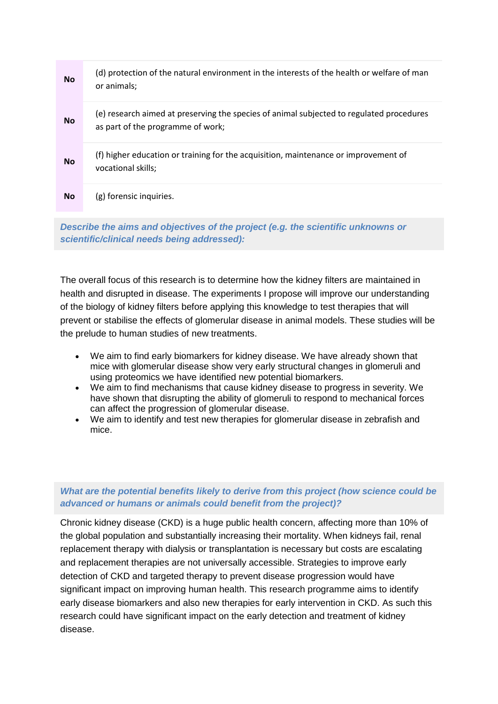| <b>No</b> | (d) protection of the natural environment in the interests of the health or welfare of man<br>or animals;                     |
|-----------|-------------------------------------------------------------------------------------------------------------------------------|
| <b>No</b> | (e) research aimed at preserving the species of animal subjected to regulated procedures<br>as part of the programme of work; |
| <b>No</b> | (f) higher education or training for the acquisition, maintenance or improvement of<br>vocational skills;                     |
| <b>No</b> | (g) forensic inquiries.                                                                                                       |

*Describe the aims and objectives of the project (e.g. the scientific unknowns or scientific/clinical needs being addressed):*

The overall focus of this research is to determine how the kidney filters are maintained in health and disrupted in disease. The experiments I propose will improve our understanding of the biology of kidney filters before applying this knowledge to test therapies that will prevent or stabilise the effects of glomerular disease in animal models. These studies will be the prelude to human studies of new treatments.

- We aim to find early biomarkers for kidney disease. We have already shown that mice with glomerular disease show very early structural changes in glomeruli and using proteomics we have identified new potential biomarkers.
- We aim to find mechanisms that cause kidney disease to progress in severity. We have shown that disrupting the ability of glomeruli to respond to mechanical forces can affect the progression of glomerular disease.
- We aim to identify and test new therapies for glomerular disease in zebrafish and mice.

# *What are the potential benefits likely to derive from this project (how science could be advanced or humans or animals could benefit from the project)?*

Chronic kidney disease (CKD) is a huge public health concern, affecting more than 10% of the global population and substantially increasing their mortality. When kidneys fail, renal replacement therapy with dialysis or transplantation is necessary but costs are escalating and replacement therapies are not universally accessible. Strategies to improve early detection of CKD and targeted therapy to prevent disease progression would have significant impact on improving human health. This research programme aims to identify early disease biomarkers and also new therapies for early intervention in CKD. As such this research could have significant impact on the early detection and treatment of kidney disease.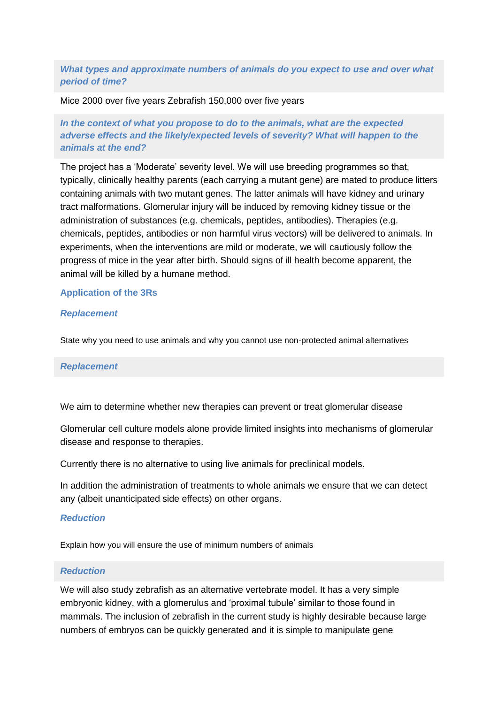## *What types and approximate numbers of animals do you expect to use and over what period of time?*

Mice 2000 over five years Zebrafish 150,000 over five years

# *In the context of what you propose to do to the animals, what are the expected adverse effects and the likely/expected levels of severity? What will happen to the animals at the end?*

The project has a 'Moderate' severity level. We will use breeding programmes so that, typically, clinically healthy parents (each carrying a mutant gene) are mated to produce litters containing animals with two mutant genes. The latter animals will have kidney and urinary tract malformations. Glomerular injury will be induced by removing kidney tissue or the administration of substances (e.g. chemicals, peptides, antibodies). Therapies (e.g. chemicals, peptides, antibodies or non harmful virus vectors) will be delivered to animals. In experiments, when the interventions are mild or moderate, we will cautiously follow the progress of mice in the year after birth. Should signs of ill health become apparent, the animal will be killed by a humane method.

## **Application of the 3Rs**

## *Replacement*

State why you need to use animals and why you cannot use non-protected animal alternatives

#### *Replacement*

We aim to determine whether new therapies can prevent or treat glomerular disease

Glomerular cell culture models alone provide limited insights into mechanisms of glomerular disease and response to therapies.

Currently there is no alternative to using live animals for preclinical models.

In addition the administration of treatments to whole animals we ensure that we can detect any (albeit unanticipated side effects) on other organs.

## *Reduction*

Explain how you will ensure the use of minimum numbers of animals

### *Reduction*

We will also study zebrafish as an alternative vertebrate model. It has a very simple embryonic kidney, with a glomerulus and 'proximal tubule' similar to those found in mammals. The inclusion of zebrafish in the current study is highly desirable because large numbers of embryos can be quickly generated and it is simple to manipulate gene